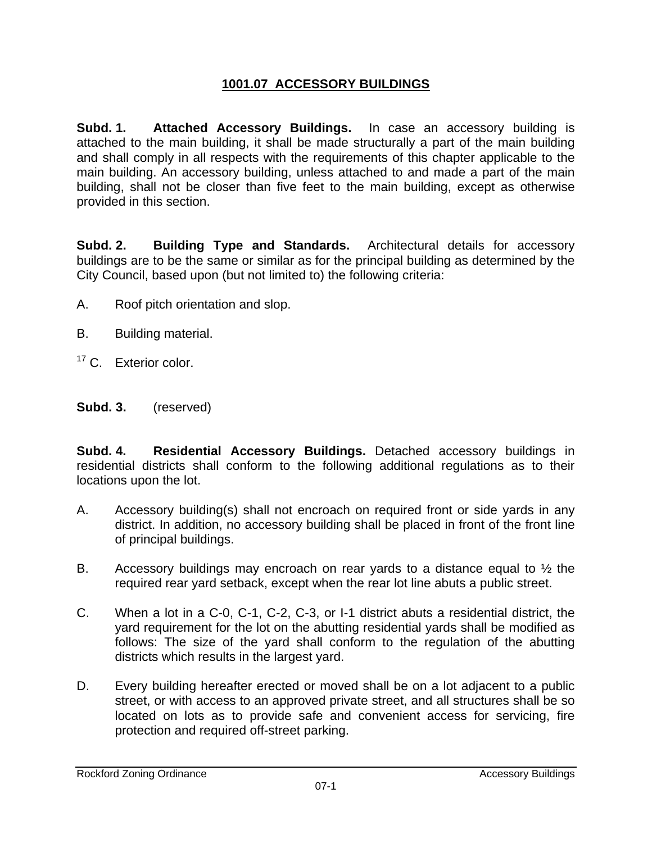## **1001.07 ACCESSORY BUILDINGS**

**Subd. 1. Attached Accessory Buildings.** In case an accessory building is attached to the main building, it shall be made structurally a part of the main building and shall comply in all respects with the requirements of this chapter applicable to the main building. An accessory building, unless attached to and made a part of the main building, shall not be closer than five feet to the main building, except as otherwise provided in this section.

**Subd. 2. Building Type and Standards.** Architectural details for accessory buildings are to be the same or similar as for the principal building as determined by the City Council, based upon (but not limited to) the following criteria:

- A. Roof pitch orientation and slop.
- B. Building material.
- <sup>17</sup> C. Exterior color.

## **Subd. 3.** (reserved)

**Subd. 4. Residential Accessory Buildings.** Detached accessory buildings in residential districts shall conform to the following additional regulations as to their locations upon the lot.

- A. Accessory building(s) shall not encroach on required front or side yards in any district. In addition, no accessory building shall be placed in front of the front line of principal buildings.
- B. Accessory buildings may encroach on rear yards to a distance equal to ½ the required rear yard setback, except when the rear lot line abuts a public street.
- C. When a lot in a C-0, C-1, C-2, C-3, or I-1 district abuts a residential district, the yard requirement for the lot on the abutting residential yards shall be modified as follows: The size of the yard shall conform to the regulation of the abutting districts which results in the largest yard.
- D. Every building hereafter erected or moved shall be on a lot adjacent to a public street, or with access to an approved private street, and all structures shall be so located on lots as to provide safe and convenient access for servicing, fire protection and required off-street parking.